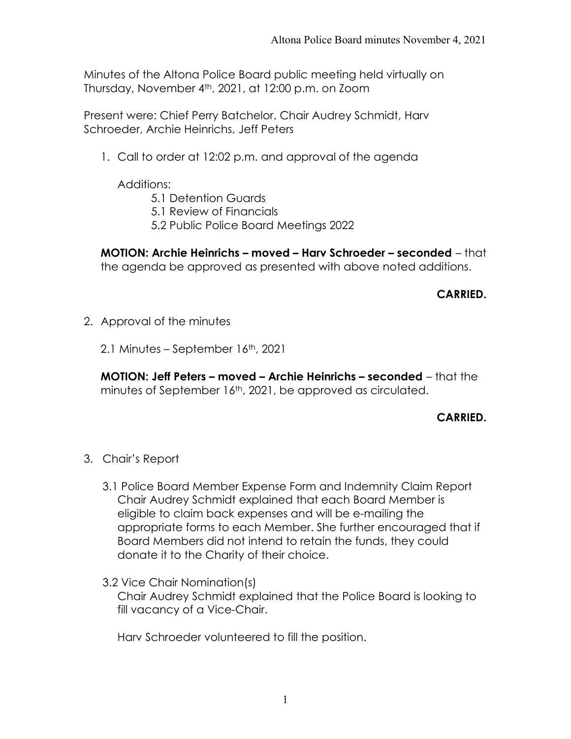Minutes of the Altona Police Board public meeting held virtually on Thursday, November 4th, 2021, at 12:00 p.m. on Zoom

Present were: Chief Perry Batchelor, Chair Audrey Schmidt, Harv Schroeder, Archie Heinrichs, Jeff Peters

1. Call to order at 12:02 p.m. and approval of the agenda

Additions:

- 5.1 Detention Guards
- 5.1 Review of Financials
- 5.2 Public Police Board Meetings 2022

MOTION: Archie Heinrichs – moved – Harv Schroeder – seconded – that the agenda be approved as presented with above noted additions.

## CARRIED.

- 2. Approval of the minutes
	- 2.1 Minutes September 16<sup>th</sup>, 2021

MOTION: Jeff Peters – moved – Archie Heinrichs – seconded – that the minutes of September 16th, 2021, be approved as circulated.

### CARRIED.

- 3. Chair's Report
	- 3.1 Police Board Member Expense Form and Indemnity Claim Report Chair Audrey Schmidt explained that each Board Member is eligible to claim back expenses and will be e-mailing the appropriate forms to each Member. She further encouraged that if Board Members did not intend to retain the funds, they could donate it to the Charity of their choice.
	- 3.2 Vice Chair Nomination(s) Chair Audrey Schmidt explained that the Police Board is looking to fill vacancy of a Vice-Chair.

Harv Schroeder volunteered to fill the position.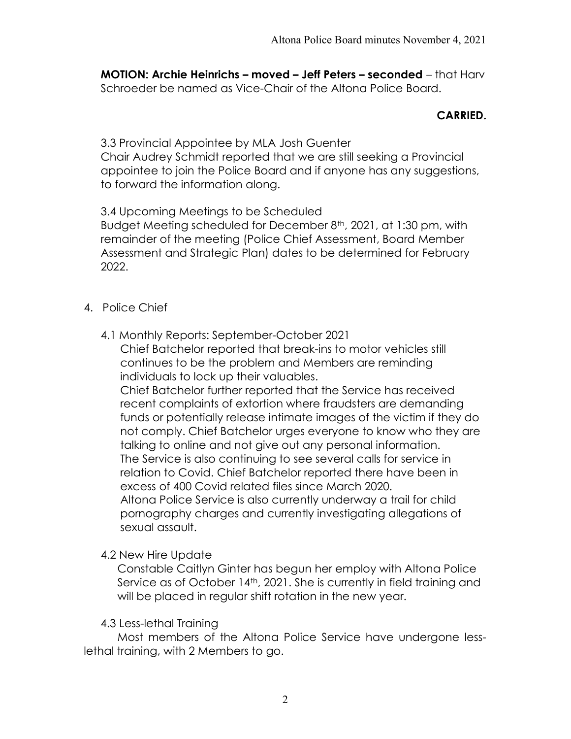MOTION: Archie Heinrichs – moved – Jeff Peters – seconded – that Harv Schroeder be named as Vice-Chair of the Altona Police Board.

## CARRIED.

3.3 Provincial Appointee by MLA Josh Guenter Chair Audrey Schmidt reported that we are still seeking a Provincial appointee to join the Police Board and if anyone has any suggestions, to forward the information along.

3.4 Upcoming Meetings to be Scheduled Budget Meeting scheduled for December 8<sup>th</sup>, 2021, at 1:30 pm, with remainder of the meeting (Police Chief Assessment, Board Member Assessment and Strategic Plan) dates to be determined for February 2022.

- 4. Police Chief
	- 4.1 Monthly Reports: September-October 2021

Chief Batchelor reported that break-ins to motor vehicles still continues to be the problem and Members are reminding individuals to lock up their valuables.

Chief Batchelor further reported that the Service has received recent complaints of extortion where fraudsters are demanding funds or potentially release intimate images of the victim if they do not comply. Chief Batchelor urges everyone to know who they are talking to online and not give out any personal information. The Service is also continuing to see several calls for service in relation to Covid. Chief Batchelor reported there have been in excess of 400 Covid related files since March 2020. Altona Police Service is also currently underway a trail for child pornography charges and currently investigating allegations of sexual assault.

4.2 New Hire Update

Constable Caitlyn Ginter has begun her employ with Altona Police Service as of October 14<sup>th</sup>, 2021. She is currently in field training and will be placed in regular shift rotation in the new year.

4.3 Less-lethal Training

 Most members of the Altona Police Service have undergone lesslethal training, with 2 Members to go.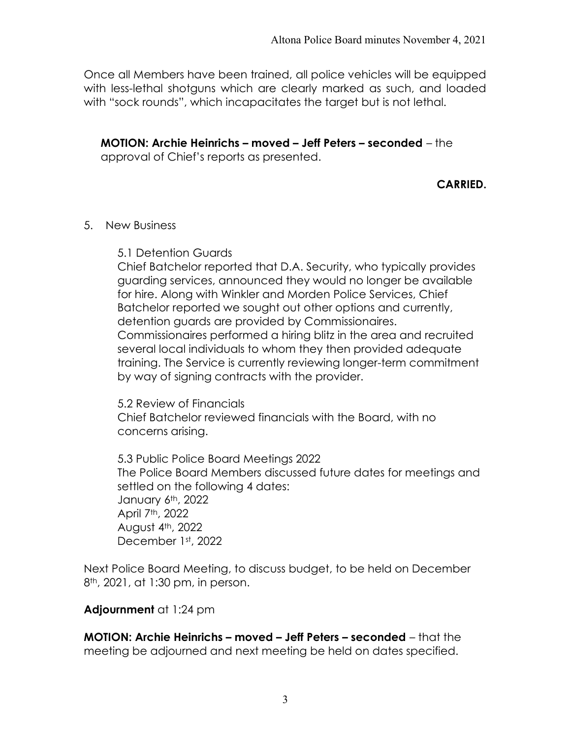Once all Members have been trained, all police vehicles will be equipped with less-lethal shotguns which are clearly marked as such, and loaded with "sock rounds", which incapacitates the target but is not lethal.

MOTION: Archie Heinrichs – moved – Jeff Peters – seconded – the approval of Chief's reports as presented.

# CARRIED.

### 5. New Business

5.1 Detention Guards

Chief Batchelor reported that D.A. Security, who typically provides guarding services, announced they would no longer be available for hire. Along with Winkler and Morden Police Services, Chief Batchelor reported we sought out other options and currently, detention guards are provided by Commissionaires. Commissionaires performed a hiring blitz in the area and recruited several local individuals to whom they then provided adequate training. The Service is currently reviewing longer-term commitment by way of signing contracts with the provider.

 5.2 Review of Financials Chief Batchelor reviewed financials with the Board, with no concerns arising.

5.3 Public Police Board Meetings 2022 The Police Board Members discussed future dates for meetings and settled on the following 4 dates: January 6th, 2022 April 7th, 2022 August  $4<sup>th</sup>$ , 2022 December 1st, 2022

Next Police Board Meeting, to discuss budget, to be held on December 8<sup>th</sup>, 2021, at 1:30 pm, in person.

## Adjournment at 1:24 pm

MOTION: Archie Heinrichs – moved – Jeff Peters – seconded – that the meeting be adjourned and next meeting be held on dates specified.